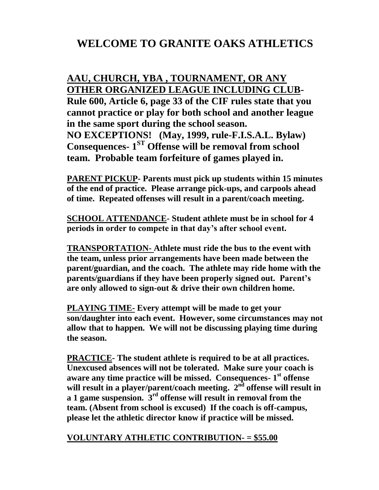## **WELCOME TO GRANITE OAKS ATHLETICS**

## **AAU, CHURCH, YBA , TOURNAMENT, OR ANY OTHER ORGANIZED LEAGUE INCLUDING CLUB-Rule 600, Article 6, page 33 of the CIF rules state that you cannot practice or play for both school and another league in the same sport during the school season. NO EXCEPTIONS! (May, 1999, rule-F.I.S.A.L. Bylaw) Consequences- 1 ST Offense will be removal from school team. Probable team forfeiture of games played in.**

**PARENT PICKUP- Parents must pick up students within 15 minutes of the end of practice. Please arrange pick-ups, and carpools ahead of time. Repeated offenses will result in a parent/coach meeting.**

**SCHOOL ATTENDANCE- Student athlete must be in school for 4 periods in order to compete in that day's after school event.**

**TRANSPORTATION- Athlete must ride the bus to the event with the team, unless prior arrangements have been made between the parent/guardian, and the coach. The athlete may ride home with the parents/guardians if they have been properly signed out. Parent's are only allowed to sign-out & drive their own children home.**

**PLAYING TIME- Every attempt will be made to get your son/daughter into each event. However, some circumstances may not allow that to happen. We will not be discussing playing time during the season.** 

**PRACTICE- The student athlete is required to be at all practices. Unexcused absences will not be tolerated. Make sure your coach is aware any time practice will be missed. Consequences- 1 st offense**  will result in a player/parent/coach meeting.  $2<sup>nd</sup>$  offense will result in **a 1 game suspension. 3rd offense will result in removal from the team. (Absent from school is excused) If the coach is off-campus, please let the athletic director know if practice will be missed.** 

## **VOLUNTARY ATHLETIC CONTRIBUTION- = \$55.00**